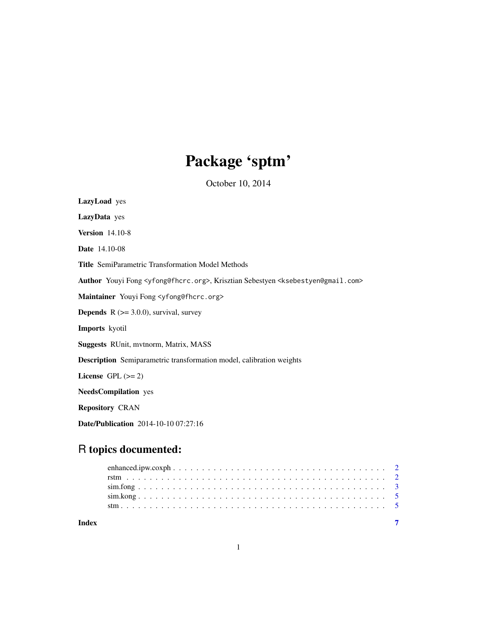## Package 'sptm'

October 10, 2014

LazyLoad yes LazyData yes Version 14.10-8 Date 14.10-08 Title SemiParametric Transformation Model Methods Author Youyi Fong <yfong@fhcrc.org>, Krisztian Sebestyen <ksebestyen@gmail.com> Maintainer Youyi Fong <yfong@fhcrc.org> **Depends**  $R$  ( $>= 3.0.0$ ), survival, survey Imports kyotil Suggests RUnit, mvtnorm, Matrix, MASS Description Semiparametric transformation model, calibration weights License GPL  $(>= 2)$ NeedsCompilation yes Repository CRAN Date/Publication 2014-10-10 07:27:16

### R topics documented:

| Index |  |
|-------|--|
|       |  |
|       |  |
|       |  |
|       |  |
|       |  |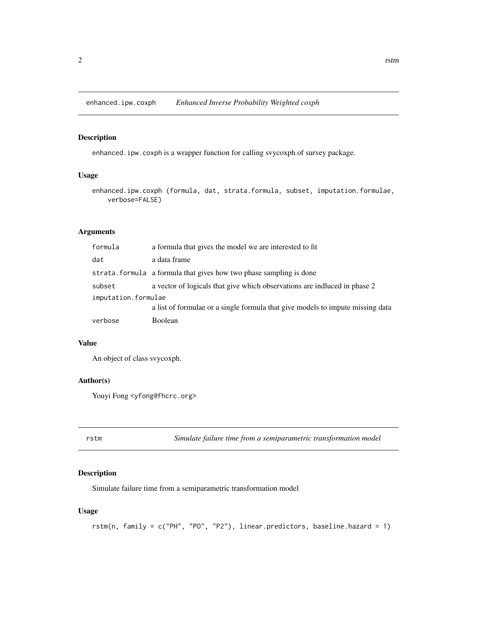<span id="page-1-0"></span>enhanced.ipw.coxph *Enhanced Inverse Probability Weighted coxph*

#### Description

enhanced.ipw.coxph is a wrapper function for calling svycoxph of survey package.

#### Usage

```
enhanced.ipw.coxph (formula, dat, strata.formula, subset, imputation.formulae,
   verbose=FALSE)
```
#### Arguments

| formula             | a formula that gives the model we are interested to fit                        |
|---------------------|--------------------------------------------------------------------------------|
| dat                 | a data frame                                                                   |
|                     | strata. formula a formula that gives how two phase sampling is done            |
| subset              | a vector of logicals that give which observations are induced in phase 2       |
| imputation.formulae |                                                                                |
|                     | a list of formulae or a single formula that give models to impute missing data |
| verbose             | Boolean                                                                        |

#### Value

An object of class svycoxph.

#### Author(s)

Youyi Fong <yfong@fhcrc.org>

rstm *Simulate failure time from a semiparametric transformation model*

#### Description

Simulate failure time from a semiparametric transformation model

#### Usage

```
rstm(n, family = c("PH", "PO", "P2"), linear.predictors, baseline.hazard = 1)
```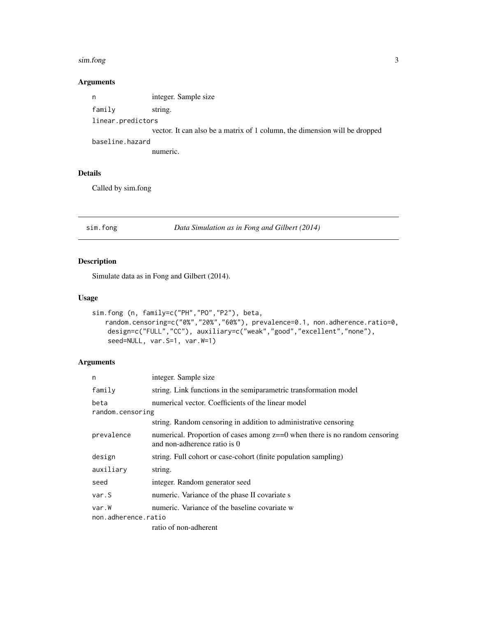#### <span id="page-2-0"></span>sim.fong 3

#### Arguments

| n                 | integer. Sample size                                                       |
|-------------------|----------------------------------------------------------------------------|
| family            | string.                                                                    |
| linear.predictors |                                                                            |
|                   | vector. It can also be a matrix of 1 column, the dimension will be dropped |
| baseline.hazard   |                                                                            |
|                   | numeric.                                                                   |

#### Details

Called by sim.fong

sim.fong *Data Simulation as in Fong and Gilbert (2014)*

#### Description

Simulate data as in Fong and Gilbert (2014).

#### Usage

```
sim.fong (n, family=c("PH","PO","P2"), beta,
   random.censoring=c("0%","20%","60%"), prevalence=0.1, non.adherence.ratio=0,
   design=c("FULL","CC"), auxiliary=c("weak","good","excellent","none"),
    seed=NULL, var.S=1, var.W=1)
```
#### Arguments

| n                   | integer. Sample size                                                                                           |  |  |
|---------------------|----------------------------------------------------------------------------------------------------------------|--|--|
| family              | string. Link functions in the semiparametric transformation model                                              |  |  |
| beta                | numerical vector. Coefficients of the linear model                                                             |  |  |
| random.censoring    |                                                                                                                |  |  |
|                     | string. Random censoring in addition to administrative censoring                                               |  |  |
| prevalence          | numerical. Proportion of cases among $z = 0$ when there is no random censoring<br>and non-adherence ratio is 0 |  |  |
| design              | string. Full cohort or case-cohort (finite population sampling)                                                |  |  |
| auxiliary           | string.                                                                                                        |  |  |
| seed                | integer. Random generator seed                                                                                 |  |  |
| var.S               | numeric. Variance of the phase II covariate s                                                                  |  |  |
| var.W               | numeric. Variance of the baseline covariate w                                                                  |  |  |
| non.adherence.ratio |                                                                                                                |  |  |
|                     | ratio of non-adherent                                                                                          |  |  |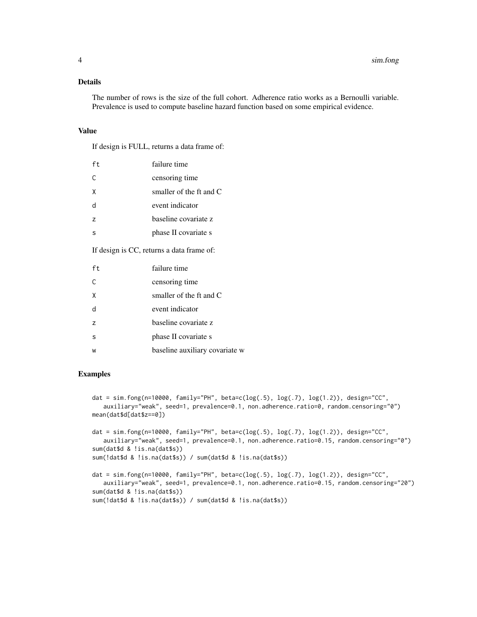#### Details

The number of rows is the size of the full cohort. Adherence ratio works as a Bernoulli variable. Prevalence is used to compute baseline hazard function based on some empirical evidence.

#### Value

If design is FULL, returns a data frame of:

| ft.            | failure time            |
|----------------|-------------------------|
| C.             | censoring time          |
| X              | smaller of the ft and C |
| d              | event indicator         |
| $\overline{z}$ | baseline covariate z    |
|                | phase II covariate s    |

If design is CC, returns a data frame of:

| ft.            | failure time                   |
|----------------|--------------------------------|
| $\subset$      | censoring time                 |
| X              | smaller of the ft and $C$      |
| h              | event indicator                |
| $\overline{z}$ | baseline covariate z           |
| S              | phase II covariate s           |
| w              | baseline auxiliary covariate w |

#### Examples

```
dat = sim.fong(n=10000, family="PH", beta=c(log(.5), log(.7), log(1.2)), design="CC",
   auxiliary="weak", seed=1, prevalence=0.1, non.adherence.ratio=0, random.censoring="0")
mean(dat$d[dat$z==0])
```

```
dat = sim.fong(n=10000, family="PH", beta=c(log(.5), log(.7), log(1.2)), design="CC",
   auxiliary="weak", seed=1, prevalence=0.1, non.adherence.ratio=0.15, random.censoring="0")
sum(dat$d & !is.na(dat$s))
sum(!dat$d & !is.na(dat$s)) / sum(dat$d & !is.na(dat$s))
```

```
dat = sim.fong(n=10000, family="PH", beta=c(log(.5), log(.7), log(1.2)), design="CC",
   auxiliary="weak", seed=1, prevalence=0.1, non.adherence.ratio=0.15, random.censoring="20")
sum(dat$d & !is.na(dat$s))
sum(!dat$d & !is.na(dat$s)) / sum(dat$d & !is.na(dat$s))
```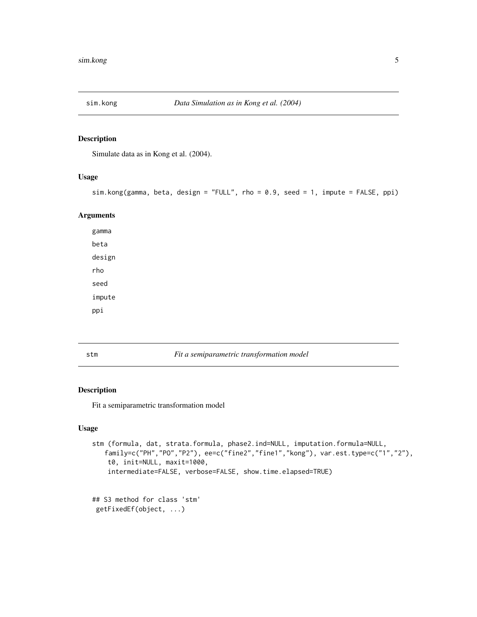<span id="page-4-0"></span>

#### Description

Simulate data as in Kong et al. (2004).

#### Usage

```
sim.kong(gamma, beta, design = "FULL", rho = 0.9, seed = 1, impute = FALSE, ppi)
```
#### Arguments

gamma beta design rho seed impute ppi

stm *Fit a semiparametric transformation model*

#### Description

Fit a semiparametric transformation model

#### Usage

```
stm (formula, dat, strata.formula, phase2.ind=NULL, imputation.formula=NULL,
   family=c("PH","PO","P2"), ee=c("fine2","fine1","kong"), var.est.type=c("1","2"),
   t0, init=NULL, maxit=1000,
   intermediate=FALSE, verbose=FALSE, show.time.elapsed=TRUE)
```
## S3 method for class 'stm' getFixedEf(object, ...)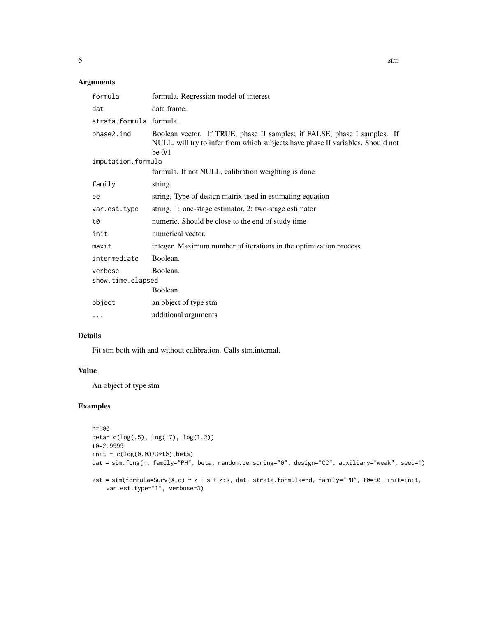#### Arguments

| formula                      | formula. Regression model of interest                                                                                                                                   |
|------------------------------|-------------------------------------------------------------------------------------------------------------------------------------------------------------------------|
| dat                          | data frame.                                                                                                                                                             |
| strata.formula formula.      |                                                                                                                                                                         |
| phase2.ind                   | Boolean vector. If TRUE, phase II samples; if FALSE, phase I samples. If<br>NULL, will try to infer from which subjects have phase II variables. Should not<br>be $0/1$ |
| imputation.formula           |                                                                                                                                                                         |
|                              | formula. If not NULL, calibration weighting is done                                                                                                                     |
| family                       | string.                                                                                                                                                                 |
| ee                           | string. Type of design matrix used in estimating equation                                                                                                               |
| var.est.type                 | string. 1: one-stage estimator, 2: two-stage estimator                                                                                                                  |
| t0                           | numeric. Should be close to the end of study time                                                                                                                       |
| init                         | numerical vector.                                                                                                                                                       |
| maxit                        | integer. Maximum number of iterations in the optimization process                                                                                                       |
| intermediate                 | Boolean.                                                                                                                                                                |
| verbose<br>show.time.elapsed | Boolean.                                                                                                                                                                |
|                              | Boolean.                                                                                                                                                                |
| object                       | an object of type stm                                                                                                                                                   |
| $\cdots$                     | additional arguments                                                                                                                                                    |

#### Details

Fit stm both with and without calibration. Calls stm.internal.

#### Value

An object of type stm

#### Examples

```
n=100
beta= c(log(.5), log(.7), log(1.2))
t0=2.9999
init = c(log(0.0373*t0), beta)dat = sim.fong(n, family="PH", beta, random.censoring="0", design="CC", auxiliary="weak", seed=1)
est = stm(formula=Surv(X,d) ~ z + s + z:s, dat, strata.formula=~d, family="PH", t0=t0, init=init,
    var.est.type="1", verbose=3)
```